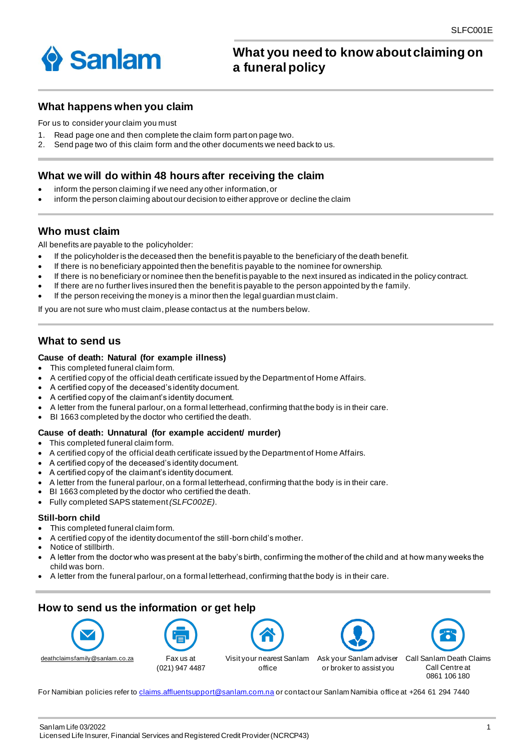

# **What you need to know about claiming on a funeral policy**

# **What happens when you claim**

For us to consider your claim you must

- 1. Read page one and then complete the claim form part on page two.
- 2. Send page two of this claim form and the other documents we need back to us.

#### **What we will do within 48 hours after receiving the claim**

- inform the person claiming if we need any other information, or
- inform the person claiming about our decision to either approve or decline the claim

## **Who must claim**

All benefits are payable to the policyholder:

- If the policyholder is the deceased then the benefit is payable to the beneficiary of the death benefit.
- If there is no beneficiary appointed then the benefit is payable to the nominee for ownership.
- If there is no beneficiary or nominee then the benefit is payable to the next insured as indicated in the policy contract.
- If there are no further lives insured then the benefit is payable to the person appointed by th e family.
- If the person receiving the money is a minor then the legal guardian must claim.

If you are not sure who must claim, please contact us at the numbers below.

# **What to send us**

#### **Cause of death: Natural (for example illness)**

- This completed funeral claim form.
- A certified copy of the official death certificate issued by the Department of Home Affairs.
- A certified copy of the deceased's identity document.
- A certified copy of the claimant's identity document.
- A letter from the funeral parlour, on a formal letterhead, confirming that the body is in their care.
- BI 1663 completed by the doctor who certified the death.

#### **Cause of death: Unnatural (for example accident/ murder)**

- This completed funeral claim form.
- A certified copy of the official death certificate issued by the Department of Home Affairs.
- A certified copy of the deceased's identity document.
- A certified copy of the claimant's identity document.
- A letter from the funeral parlour, on a formal letterhead, confirming that the body is in their care.
- BI 1663 completed by the doctor who certified the death.
- Fully completed SAPS statement *(SLFC002E)*.

#### **Still-born child**

- This completed funeral claim form.
- A certified copy of the identity document of the still-born child's mother.
- Notice of stillbirth.
- A letter from the doctor who was present at the baby's birth, confirming the mother of the child and at how many weeks the child was born.
- A letter from the funeral parlour, on a formal letterhead, confirming that the body is in their care.

# **How to send us the information or get help**





(021) 947 4487



office





Call Sanlam Death Claims Call Centre at 0861 106 180

For Namibian policies refer to [claims.affluentsupport@sanlam.com.na](mailto:claims.affluentsupport@sanlam.com.na) or contact our Sanlam Namibia office at +264 61 294 7440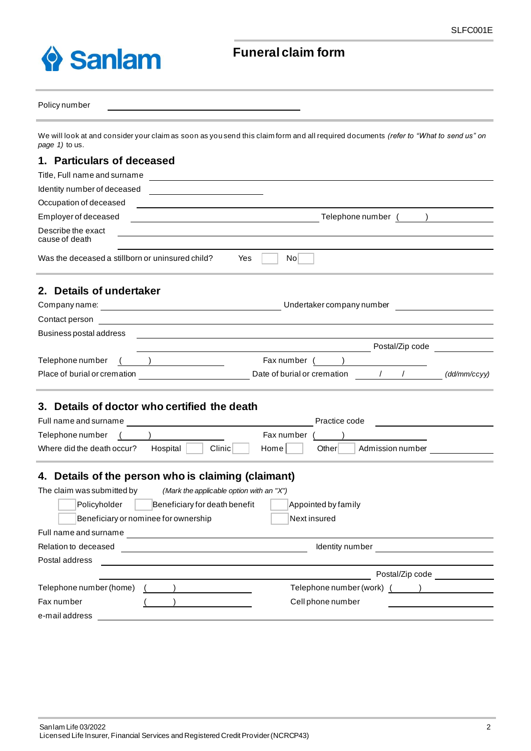

# **Funeral claim form**

#### Policy number

We will look at and consider your claim as soon as you send this claim form and all required documents *(refer to "What to send us" on page 1)* to us.

#### **1. Particulars of deceased**

| Title, Full name and surname<br><u> 1989 - Andrea Station Barbara (h. 1989).</u> |                                                                                                                       |  |  |  |  |  |
|----------------------------------------------------------------------------------|-----------------------------------------------------------------------------------------------------------------------|--|--|--|--|--|
| Identity number of deceased                                                      |                                                                                                                       |  |  |  |  |  |
| Occupation of deceased                                                           |                                                                                                                       |  |  |  |  |  |
| Employer of deceased                                                             | Telephone number ( )                                                                                                  |  |  |  |  |  |
| Describe the exact<br>cause of death                                             |                                                                                                                       |  |  |  |  |  |
| Was the deceased a stillborn or uninsured child?<br>Yes<br>Nol                   |                                                                                                                       |  |  |  |  |  |
| 2. Details of undertaker                                                         |                                                                                                                       |  |  |  |  |  |
|                                                                                  |                                                                                                                       |  |  |  |  |  |
| Contact person                                                                   | <u> 1989 - Johann Stein, marwolaethau a bhann an t-Amhain Aonaichte ann an t-Amhain Aonaichte ann an t-Amhain Aon</u> |  |  |  |  |  |
| Business postal address                                                          |                                                                                                                       |  |  |  |  |  |
|                                                                                  | Postal/Zip code                                                                                                       |  |  |  |  |  |
| Telephone number                                                                 | Fax number (<br>$\overline{\phantom{a}}$                                                                              |  |  |  |  |  |
| Place of burial or cremation                                                     | $\sqrt{1}$<br>Date of burial or cremation<br>(dd/mm/ccyy)                                                             |  |  |  |  |  |
| 3. Details of doctor who certified the death                                     |                                                                                                                       |  |  |  |  |  |
|                                                                                  | Practice code                                                                                                         |  |  |  |  |  |
| Telephone number                                                                 | Fax number                                                                                                            |  |  |  |  |  |
| Where did the death occur?<br>Hospital                                           | Clinic<br>Home<br>Otherl<br>Admission number                                                                          |  |  |  |  |  |

# **4. Details of the person who is claiming (claimant)**

| The claim was submitted by              | (Mark the applicable option with an "X") |                           |
|-----------------------------------------|------------------------------------------|---------------------------|
| Policyholder                            | Beneficiary for death benefit            | Appointed by family       |
|                                         | Beneficiary or nominee for ownership     | Next insured              |
| Full name and surname                   |                                          |                           |
| Relation to deceased<br>Identity number |                                          |                           |
| Postal address                          |                                          |                           |
|                                         |                                          | Postal/Zip code           |
| Telephone number (home)                 |                                          | Telephone number (work) ( |
| Fax number                              |                                          | Cell phone number         |
| e-mail address                          |                                          |                           |